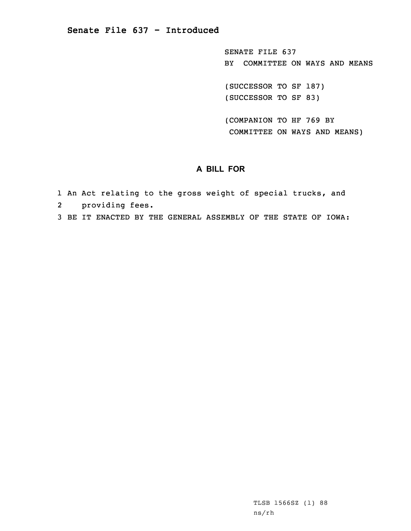SENATE FILE 637 BY COMMITTEE ON WAYS AND MEANS

(SUCCESSOR TO SF 187) (SUCCESSOR TO SF 83)

(COMPANION TO HF 769 BY COMMITTEE ON WAYS AND MEANS)

## **A BILL FOR**

- 1 An Act relating to the gross weight of special trucks, and
- 2providing fees.
- 3 BE IT ENACTED BY THE GENERAL ASSEMBLY OF THE STATE OF IOWA: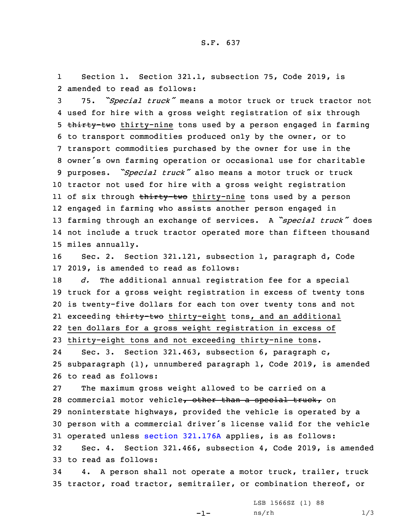1 Section 1. Section 321.1, subsection 75, Code 2019, is 2 amended to read as follows:

 75. *"Special truck"* means <sup>a</sup> motor truck or truck tractor not used for hire with <sup>a</sup> gross weight registration of six through 5 thirty-two thirty-nine tons used by a person engaged in farming to transport commodities produced only by the owner, or to transport commodities purchased by the owner for use in the owner's own farming operation or occasional use for charitable purposes. *"Special truck"* also means <sup>a</sup> motor truck or truck tractor not used for hire with <sup>a</sup> gross weight registration ll of six through <del>thirty-two</del> thirty-nine tons used by a person engaged in farming who assists another person engaged in farming through an exchange of services. <sup>A</sup> *"special truck"* does not include <sup>a</sup> truck tractor operated more than fifteen thousand miles annually.

16 Sec. 2. Section 321.121, subsection 1, paragraph d, Code 17 2019, is amended to read as follows:

 *d.* The additional annual registration fee for <sup>a</sup> special truck for <sup>a</sup> gross weight registration in excess of twenty tons is twenty-five dollars for each ton over twenty tons and not 21 exceeding <del>thirty-two</del> thirty-eight tons, and an additional ten dollars for <sup>a</sup> gross weight registration in excess of thirty-eight tons and not exceeding thirty-nine tons.

24 Sec. 3. Section 321.463, subsection 6, paragraph c, 25 subparagraph (1), unnumbered paragraph 1, Code 2019, is amended 26 to read as follows:

 The maximum gross weight allowed to be carried on <sup>a</sup> 28 commercial motor vehicle, other than a special truck, on noninterstate highways, provided the vehicle is operated by <sup>a</sup> person with <sup>a</sup> commercial driver's license valid for the vehicle operated unless section [321.176A](https://www.legis.iowa.gov/docs/code/2019/321.176A.pdf) applies, is as follows: Sec. 4. Section 321.466, subsection 4, Code 2019, is amended

33 to read as follows:

34 4. <sup>A</sup> person shall not operate <sup>a</sup> motor truck, trailer, truck 35 tractor, road tractor, semitrailer, or combination thereof, or

 $-1-$ 

LSB 1566SZ (1) 88 ns/rh 1/3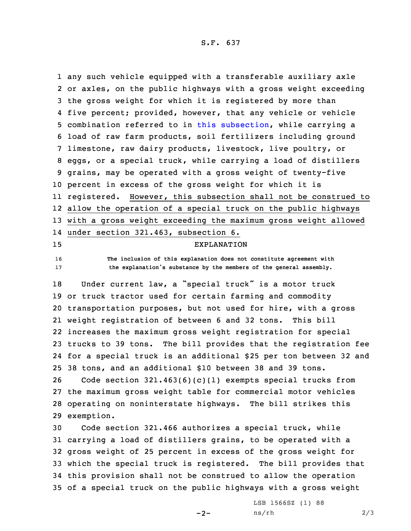S.F. 637

 any such vehicle equipped with <sup>a</sup> transferable auxiliary axle or axles, on the public highways with <sup>a</sup> gross weight exceeding the gross weight for which it is registered by more than five percent; provided, however, that any vehicle or vehicle combination referred to in this [subsection](https://www.legis.iowa.gov/docs/code/2019/321.466.pdf), while carrying <sup>a</sup> load of raw farm products, soil fertilizers including ground limestone, raw dairy products, livestock, live poultry, or eggs, or <sup>a</sup> special truck, while carrying <sup>a</sup> load of distillers grains, may be operated with <sup>a</sup> gross weight of twenty-five percent in excess of the gross weight for which it is registered. However, this subsection shall not be construed to allow the operation of <sup>a</sup> special truck on the public highways with <sup>a</sup> gross weight exceeding the maximum gross weight allowed under section 321.463, subsection 6. EXPLANATION **The inclusion of this explanation does not constitute agreement with the explanation's substance by the members of the general assembly.** Under current law, <sup>a</sup> "special truck" is <sup>a</sup> motor truck or truck tractor used for certain farming and commodity transportation purposes, but not used for hire, with <sup>a</sup> gross weight registration of between 6 and 32 tons. This bill increases the maximum gross weight registration for special trucks to 39 tons. The bill provides that the registration fee for <sup>a</sup> special truck is an additional \$25 per ton between 32 and 38 tons, and an additional \$10 between 38 and 39 tons. Code section 321.463(6)(c)(1) exempts special trucks from the maximum gross weight table for commercial motor vehicles operating on noninterstate highways. The bill strikes this exemption. Code section 321.466 authorizes <sup>a</sup> special truck, while

 carrying <sup>a</sup> load of distillers grains, to be operated with <sup>a</sup> gross weight of 25 percent in excess of the gross weight for which the special truck is registered. The bill provides that this provision shall not be construed to allow the operation of <sup>a</sup> special truck on the public highways with <sup>a</sup> gross weight

 $-2-$ 

LSB 1566SZ (1) 88  $ns/rh$  2/3